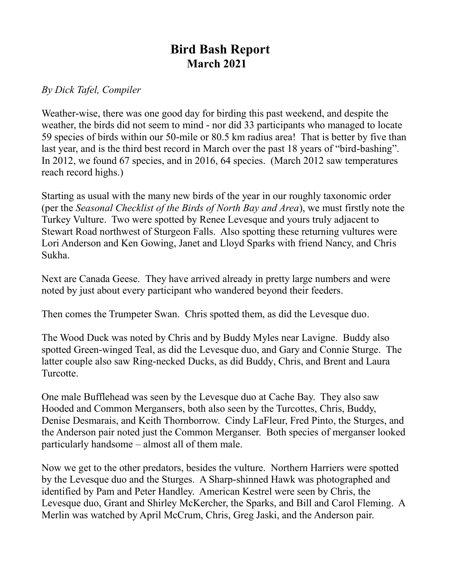## **Bird Bash Report March 2021**

## *By Dick Tafel, Compiler*

Weather-wise, there was one good day for birding this past weekend, and despite the weather, the birds did not seem to mind - nor did 33 participants who managed to locate 59 species of birds within our 50-mile or 80.5 km radius area! That is better by five than last year, and is the third best record in March over the past 18 years of "bird-bashing". In 2012, we found 67 species, and in 2016, 64 species. (March 2012 saw temperatures reach record highs.)

Starting as usual with the many new birds of the year in our roughly taxonomic order (per the *Seasonal Checklist of the Birds of North Bay and Area*), we must firstly note the Turkey Vulture. Two were spotted by Renee Levesque and yours truly adjacent to Stewart Road northwest of Sturgeon Falls. Also spotting these returning vultures were Lori Anderson and Ken Gowing, Janet and Lloyd Sparks with friend Nancy, and Chris Sukha.

Next are Canada Geese. They have arrived already in pretty large numbers and were noted by just about every participant who wandered beyond their feeders.

Then comes the Trumpeter Swan. Chris spotted them, as did the Levesque duo.

The Wood Duck was noted by Chris and by Buddy Myles near Lavigne. Buddy also spotted Green-winged Teal, as did the Levesque duo, and Gary and Connie Sturge. The latter couple also saw Ring-necked Ducks, as did Buddy, Chris, and Brent and Laura Turcotte.

One male Bufflehead was seen by the Levesque duo at Cache Bay. They also saw Hooded and Common Mergansers, both also seen by the Turcottes, Chris, Buddy, Denise Desmarais, and Keith Thornborrow. Cindy LaFleur, Fred Pinto, the Sturges, and the Anderson pair noted just the Common Merganser. Both species of merganser looked particularly handsome – almost all of them male.

Now we get to the other predators, besides the vulture. Northern Harriers were spotted by the Levesque duo and the Sturges. A Sharp-shinned Hawk was photographed and identified by Pam and Peter Handley. American Kestrel were seen by Chris, the Levesque duo, Grant and Shirley McKercher, the Sparks, and Bill and Carol Fleming. A Merlin was watched by April McCrum, Chris, Greg Jaski, and the Anderson pair.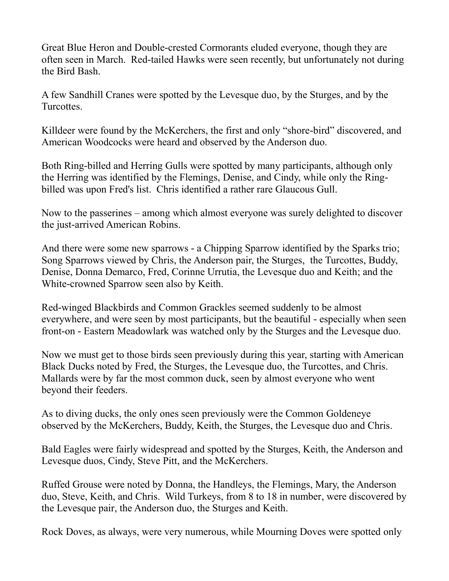Great Blue Heron and Double-crested Cormorants eluded everyone, though they are often seen in March. Red-tailed Hawks were seen recently, but unfortunately not during the Bird Bash.

A few Sandhill Cranes were spotted by the Levesque duo, by the Sturges, and by the Turcottes.

Killdeer were found by the McKerchers, the first and only "shore-bird" discovered, and American Woodcocks were heard and observed by the Anderson duo.

Both Ring-billed and Herring Gulls were spotted by many participants, although only the Herring was identified by the Flemings, Denise, and Cindy, while only the Ringbilled was upon Fred's list. Chris identified a rather rare Glaucous Gull.

Now to the passerines – among which almost everyone was surely delighted to discover the just-arrived American Robins.

And there were some new sparrows - a Chipping Sparrow identified by the Sparks trio; Song Sparrows viewed by Chris, the Anderson pair, the Sturges, the Turcottes, Buddy, Denise, Donna Demarco, Fred, Corinne Urrutia, the Levesque duo and Keith; and the White-crowned Sparrow seen also by Keith.

Red-winged Blackbirds and Common Grackles seemed suddenly to be almost everywhere, and were seen by most participants, but the beautiful - especially when seen front-on - Eastern Meadowlark was watched only by the Sturges and the Levesque duo.

Now we must get to those birds seen previously during this year, starting with American Black Ducks noted by Fred, the Sturges, the Levesque duo, the Turcottes, and Chris. Mallards were by far the most common duck, seen by almost everyone who went beyond their feeders.

As to diving ducks, the only ones seen previously were the Common Goldeneye observed by the McKerchers, Buddy, Keith, the Sturges, the Levesque duo and Chris.

Bald Eagles were fairly widespread and spotted by the Sturges, Keith, the Anderson and Levesque duos, Cindy, Steve Pitt, and the McKerchers.

Ruffed Grouse were noted by Donna, the Handleys, the Flemings, Mary, the Anderson duo, Steve, Keith, and Chris. Wild Turkeys, from 8 to 18 in number, were discovered by the Levesque pair, the Anderson duo, the Sturges and Keith.

Rock Doves, as always, were very numerous, while Mourning Doves were spotted only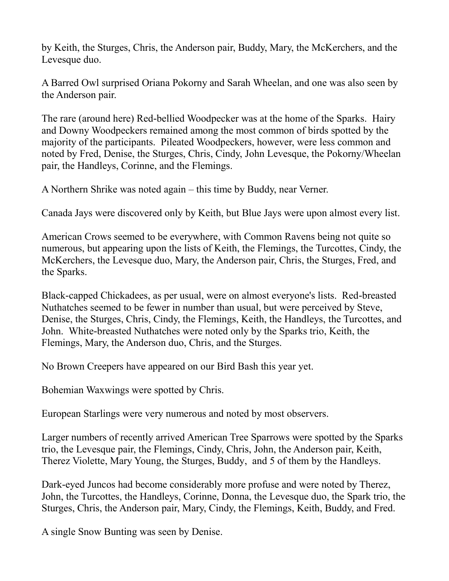by Keith, the Sturges, Chris, the Anderson pair, Buddy, Mary, the McKerchers, and the Levesque duo.

A Barred Owl surprised Oriana Pokorny and Sarah Wheelan, and one was also seen by the Anderson pair.

The rare (around here) Red-bellied Woodpecker was at the home of the Sparks. Hairy and Downy Woodpeckers remained among the most common of birds spotted by the majority of the participants. Pileated Woodpeckers, however, were less common and noted by Fred, Denise, the Sturges, Chris, Cindy, John Levesque, the Pokorny/Wheelan pair, the Handleys, Corinne, and the Flemings.

A Northern Shrike was noted again – this time by Buddy, near Verner.

Canada Jays were discovered only by Keith, but Blue Jays were upon almost every list.

American Crows seemed to be everywhere, with Common Ravens being not quite so numerous, but appearing upon the lists of Keith, the Flemings, the Turcottes, Cindy, the McKerchers, the Levesque duo, Mary, the Anderson pair, Chris, the Sturges, Fred, and the Sparks.

Black-capped Chickadees, as per usual, were on almost everyone's lists. Red-breasted Nuthatches seemed to be fewer in number than usual, but were perceived by Steve, Denise, the Sturges, Chris, Cindy, the Flemings, Keith, the Handleys, the Turcottes, and John. White-breasted Nuthatches were noted only by the Sparks trio, Keith, the Flemings, Mary, the Anderson duo, Chris, and the Sturges.

No Brown Creepers have appeared on our Bird Bash this year yet.

Bohemian Waxwings were spotted by Chris.

European Starlings were very numerous and noted by most observers.

Larger numbers of recently arrived American Tree Sparrows were spotted by the Sparks trio, the Levesque pair, the Flemings, Cindy, Chris, John, the Anderson pair, Keith, Therez Violette, Mary Young, the Sturges, Buddy, and 5 of them by the Handleys.

Dark-eyed Juncos had become considerably more profuse and were noted by Therez, John, the Turcottes, the Handleys, Corinne, Donna, the Levesque duo, the Spark trio, the Sturges, Chris, the Anderson pair, Mary, Cindy, the Flemings, Keith, Buddy, and Fred.

A single Snow Bunting was seen by Denise.